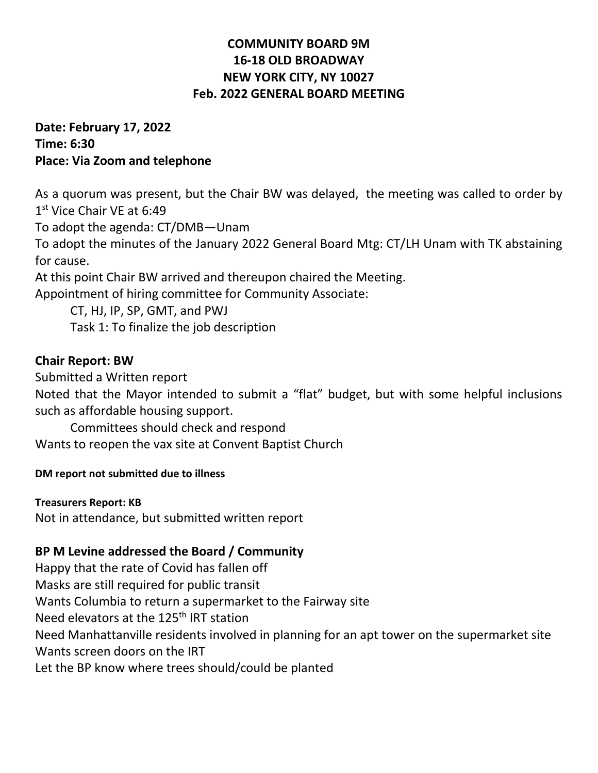# **COMMUNITY BOARD 9M 16-18 OLD BROADWAY NEW YORK CITY, NY 10027 Feb. 2022 GENERAL BOARD MEETING**

## **Date: February 17, 2022 Time: 6:30 Place: Via Zoom and telephone**

As a quorum was present, but the Chair BW was delayed, the meeting was called to order by 1<sup>st</sup> Vice Chair VE at 6:49 To adopt the agenda: CT/DMB—Unam

To adopt the minutes of the January 2022 General Board Mtg: CT/LH Unam with TK abstaining for cause.

At this point Chair BW arrived and thereupon chaired the Meeting.

Appointment of hiring committee for Community Associate:

CT, HJ, IP, SP, GMT, and PWJ Task 1: To finalize the job description

# **Chair Report: BW**

Submitted a Written report

Noted that the Mayor intended to submit a "flat" budget, but with some helpful inclusions such as affordable housing support.

Committees should check and respond Wants to reopen the vax site at Convent Baptist Church

## **DM report not submitted due to illness**

**Treasurers Report: KB** Not in attendance, but submitted written report

# **BP M Levine addressed the Board / Community**

Happy that the rate of Covid has fallen off Masks are still required for public transit Wants Columbia to return a supermarket to the Fairway site Need elevators at the 125<sup>th</sup> IRT station Need Manhattanville residents involved in planning for an apt tower on the supermarket site Wants screen doors on the IRT Let the BP know where trees should/could be planted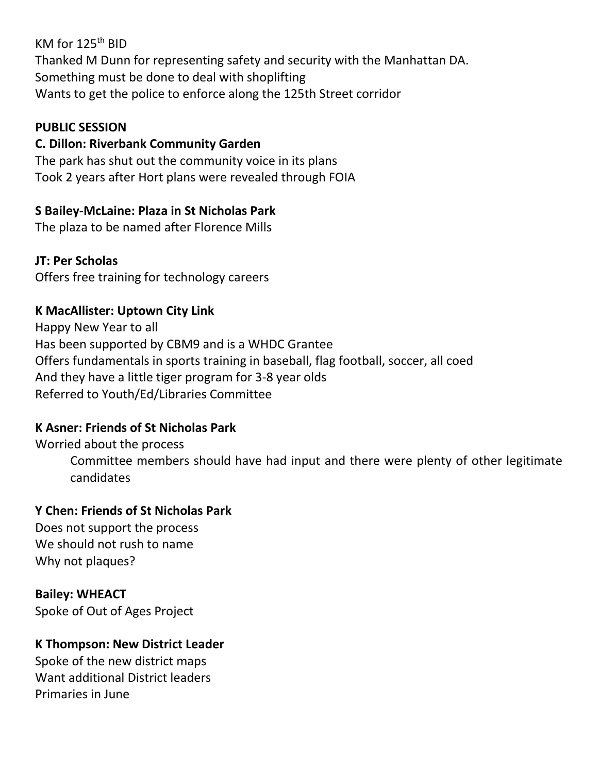KM for  $125<sup>th</sup>$  BID Thanked M Dunn for representing safety and security with the Manhattan DA. Something must be done to deal with shoplifting Wants to get the police to enforce along the 125th Street corridor

### **PUBLIC SESSION**

## **C. Dillon: Riverbank Community Garden**

The park has shut out the community voice in its plans Took 2 years after Hort plans were revealed through FOIA

# **S Bailey-McLaine: Plaza in St Nicholas Park**

The plaza to be named after Florence Mills

# **JT: Per Scholas**

Offers free training for technology careers

# **K MacAllister: Uptown City Link**

Happy New Year to all Has been supported by CBM9 and is a WHDC Grantee Offers fundamentals in sports training in baseball, flag football, soccer, all coed And they have a little tiger program for 3-8 year olds Referred to Youth/Ed/Libraries Committee

# **K Asner: Friends of St Nicholas Park**

Worried about the process Committee members should have had input and there were plenty of other legitimate candidates

## **Y Chen: Friends of St Nicholas Park**

Does not support the process We should not rush to name Why not plaques?

## **Bailey: WHEACT**

Spoke of Out of Ages Project

# **K Thompson: New District Leader**

Spoke of the new district maps Want additional District leaders Primaries in June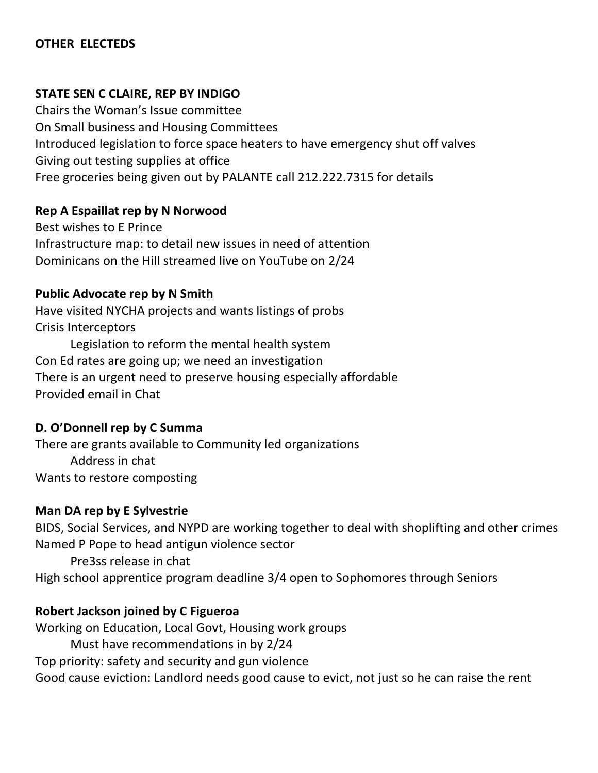# **OTHER ELECTEDS**

#### **STATE SEN C CLAIRE, REP BY INDIGO**

Chairs the Woman's Issue committee On Small business and Housing Committees Introduced legislation to force space heaters to have emergency shut off valves Giving out testing supplies at office Free groceries being given out by PALANTE call 212.222.7315 for details

#### **Rep A Espaillat rep by N Norwood**

Best wishes to E Prince Infrastructure map: to detail new issues in need of attention Dominicans on the Hill streamed live on YouTube on 2/24

#### **Public Advocate rep by N Smith**

Have visited NYCHA projects and wants listings of probs Crisis Interceptors

Legislation to reform the mental health system Con Ed rates are going up; we need an investigation There is an urgent need to preserve housing especially affordable Provided email in Chat

#### **D. O'Donnell rep by C Summa**

There are grants available to Community led organizations Address in chat Wants to restore composting

#### **Man DA rep by E Sylvestrie**

BIDS, Social Services, and NYPD are working together to deal with shoplifting and other crimes Named P Pope to head antigun violence sector

Pre3ss release in chat

High school apprentice program deadline 3/4 open to Sophomores through Seniors

## **Robert Jackson joined by C Figueroa**

Working on Education, Local Govt, Housing work groups Must have recommendations in by 2/24 Top priority: safety and security and gun violence Good cause eviction: Landlord needs good cause to evict, not just so he can raise the rent